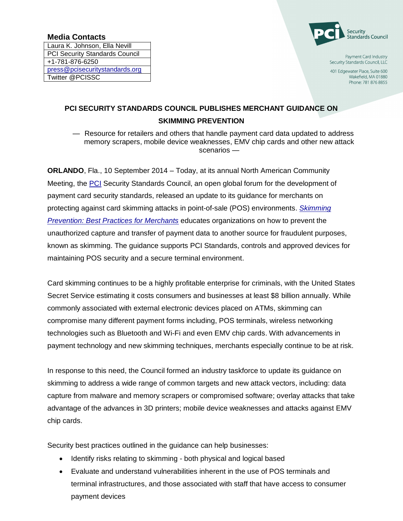## **Media Contacts**

Laura K. Johnson, Ella Nevill PCI Security Standards Council +1-781-876-6250 [press@pcisecuritystandards.org](mailto:press@pcisecuritystandards.org) Twitter @PCISSC



Payment Card Industry Security Standards Council, LLC

401 Edgewater Place, Suite 600 Wakefield, MA 01880 Phone: 781 876 8855

## **PCI SECURITY STANDARDS COUNCIL PUBLISHES MERCHANT GUIDANCE ON SKIMMING PREVENTION**

— Resource for retailers and others that handle payment card data updated to address memory scrapers, mobile device weaknesses, EMV chip cards and other new attack scenarios —

**ORLANDO**, Fla., 10 September 2014 – Today, at its annual North American Community Meeting, the [PCI](https://www.pcisecuritystandards.org/) Security Standards Council, an open global forum for the development of payment card security standards, released an update to its guidance for merchants on protecting against card skimming attacks in point-of-sale (POS) environments. *[Skimming](https://www.pcisecuritystandards.org/documents/Skimming%20Prevention%20BP%20for%20Merchants%20Sept2014.pdf)  [Prevention: Best Practices for Merchants](https://www.pcisecuritystandards.org/documents/Skimming%20Prevention%20BP%20for%20Merchants%20Sept2014.pdf)* educates organizations on how to prevent the unauthorized capture and transfer of payment data to another source for fraudulent purposes, known as skimming. The guidance supports PCI Standards, controls and approved devices for maintaining POS security and a secure terminal environment.

Card skimming continues to be a highly profitable enterprise for criminals, with the United States Secret Service estimating it costs consumers and businesses at least \$8 billion annually. While commonly associated with external electronic devices placed on ATMs, skimming can compromise many different payment forms including, POS terminals, wireless networking technologies such as Bluetooth and Wi-Fi and even EMV chip cards. With advancements in payment technology and new skimming techniques, merchants especially continue to be at risk.

In response to this need, the Council formed an industry taskforce to update its guidance on skimming to address a wide range of common targets and new attack vectors, including: data capture from malware and memory scrapers or compromised software; overlay attacks that take advantage of the advances in 3D printers; mobile device weaknesses and attacks against EMV chip cards.

Security best practices outlined in the guidance can help businesses:

- Identify risks relating to skimming both physical and logical based
- Evaluate and understand vulnerabilities inherent in the use of POS terminals and terminal infrastructures, and those associated with staff that have access to consumer payment devices